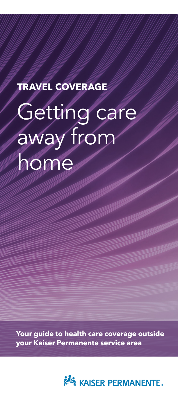## **TRAVEL COVERAGE**

# Getting care away from home

**Your guide to health care coverage outside your Kaiser Permanente service area**

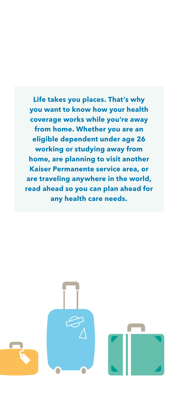**Life takes you places. That's why you want to know how your health coverage works while you're away from home. Whether you are an eligible dependent under age 26 working or studying away from home, are planning to visit another Kaiser Permanente service area, or are traveling anywhere in the world, read ahead so you can plan ahead for any health care needs.** 

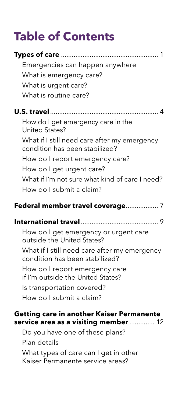# **Table of Contents**

| Emergencies can happen anywhere                                                    |  |
|------------------------------------------------------------------------------------|--|
| What is emergency care?                                                            |  |
| What is urgent care?                                                               |  |
| What is routine care?                                                              |  |
|                                                                                    |  |
| How do I get emergency care in the<br><b>United States?</b>                        |  |
| What if I still need care after my emergency<br>condition has been stabilized?     |  |
| How do I report emergency care?                                                    |  |
| How do I get urgent care?                                                          |  |
| What if I'm not sure what kind of care I need?                                     |  |
| How do I submit a claim?                                                           |  |
| Federal member travel coverage 7                                                   |  |
|                                                                                    |  |
|                                                                                    |  |
| How do I get emergency or urgent care<br>outside the United States?                |  |
| What if I still need care after my emergency<br>condition has been stabilized?     |  |
| How do I report emergency care<br>if I'm outside the United States?                |  |
| Is transportation covered?                                                         |  |
| How do I submit a claim?                                                           |  |
|                                                                                    |  |
| Getting care in another Kaiser Permanente<br>service area as a visiting member  12 |  |
| Do you have one of these plans?                                                    |  |
| Plan details                                                                       |  |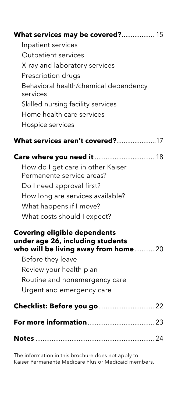| What services may be covered? 15<br>Inpatient services<br>Outpatient services<br>X-ray and laboratory services<br>Prescription drugs<br>Behavioral health/chemical dependency<br>services<br>Skilled nursing facility services<br>Home health care services<br>Hospice services |
|---------------------------------------------------------------------------------------------------------------------------------------------------------------------------------------------------------------------------------------------------------------------------------|
| What services aren't covered?17                                                                                                                                                                                                                                                 |
| Care where you need it  18<br>How do I get care in other Kaiser<br>Permanente service areas?<br>Do I need approval first?<br>How long are services available?<br>What happens if I move?<br>What costs should I expect?                                                         |
| <b>Covering eligible dependents</b><br>under age 26, including students<br>who will be living away from home 20<br>Before they leave<br>Review your health plan<br>Routine and nonemergency care<br>Urgent and emergency care                                                   |
| Checklist: Before you go  22                                                                                                                                                                                                                                                    |
|                                                                                                                                                                                                                                                                                 |
|                                                                                                                                                                                                                                                                                 |

The information in this brochure does not apply to Kaiser Permanente Medicare Plus or Medicaid members.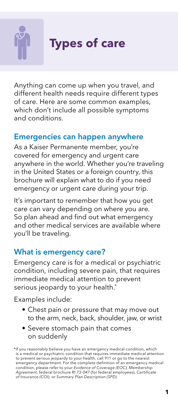

**Types of care**

Anything can come up when you travel, and different health needs require different types of care. Here are some common examples, which don't include all possible symptoms and conditions.

#### Emergencies can happen anywhere

As a Kaiser Permanente member, you're covered for emergency and urgent care anywhere in the world. Whether you're traveling in the United States or a foreign country, this brochure will explain what to do if you need emergency or urgent care during your trip.

It's important to remember that how you get care can vary depending on where you are. So plan ahead and find out what emergency and other medical services are available where you'll be traveling.

#### What is emergency care?

Emergency care is for a medical or psychiatric condition, including severe pain, that requires immediate medical attention to prevent serious jeopardy to your health.<sup>\*</sup>

Examples include:

- Chest pain or pressure that may move out to the arm, neck, back, shoulder, jaw, or wrist
- Severe stomach pain that comes on suddenly

<sup>\*</sup>If you reasonably believe you have an emergency medical condition, which is a medical or psychiatric condition that requires immediate medical attention to prevent serious jeopardy to your health, call 911 or go to the nearest emergency department. For the complete definition of an emergency medical condition, please refer to your *Evidence of Coverage (EOC), Membership Agreement,* federal brochure *RI 73-047* (for federal employees), *Certificate of Insurance (COI),* or *Summary Plan Description (SPD).*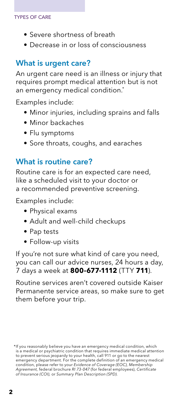#### TYPES OF CARE

- Severe shortness of breath
- Decrease in or loss of consciousness

#### What is urgent care?

An urgent care need is an illness or injury that requires prompt medical attention but is not an emergency medical condition.<sup>\*</sup>

Examples include:

- Minor injuries, including sprains and falls
- Minor backaches
- Flu symptoms
- Sore throats, coughs, and earaches

#### What is routine care?

Routine care is for an expected care need, like a scheduled visit to your doctor or a recommended preventive screening.

Examples include:

- Physical exams
- Adult and well-child checkups
- Pap tests
- Follow-up visits

If you're not sure what kind of care you need, you can call our advice nurses, 24 hours a day, 7 days a week at **800-677-1112** (TTY **711**).

Routine services aren't covered outside Kaiser Permanente service areas, so make sure to get them before your trip.

<sup>\*</sup>If you reasonably believe you have an emergency medical condition, which is a medical or psychiatric condition that requires immediate medical attention to prevent serious jeopardy to your health, call 911 or go to the nearest emergency department. For the complete definition of an emergency medical condition, please refer to your *Evidence of Coverage (EOC), Membership Agreement,* federal brochure *RI 73-047* (for federal employees), *Certificate of Insurance (COI),* or *Summary Plan Description (SPD).*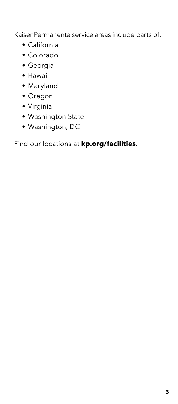Kaiser Permanente service areas include parts of:

- California
- Colorado
- Georgia
- Hawaii
- Maryland
- Oregon
- Virginia
- Washington State
- Washington, DC

Find our locations at **[kp.org/facilities](http://kp.org/facilities)**.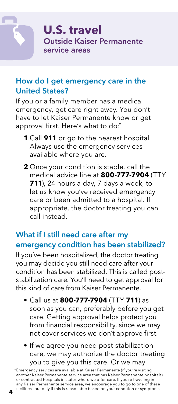#### How do I get emergency care in the United States?

If you or a family member has a medical emergency, get care right away. You don't have to let Kaiser Permanente know or get approval first. Here's what to do:\*

- **1** Call **911** or go to the nearest hospital. Always use the emergency services available where you are.
- **2** Once your condition is stable, call the medical advice line at **800-777-7904** (TTY **711**), 24 hours a day, 7 days a week, to let us know you've received emergency care or been admitted to a hospital. If appropriate, the doctor treating you can call instead.

#### What if I still need care after my emergency condition has been stabilized?

If you've been hospitalized, the doctor treating you may decide you still need care after your condition has been stabilized. This is called poststabilization care. You'll need to get approval for this kind of care from Kaiser Permanente.

- Call us at **800-777-7904** (TTY **711**) as soon as you can, preferably before you get care. Getting approval helps protect you from financial responsibility, since we may not cover services we don't approve first.
- If we agree you need post-stabilization care, we may authorize the doctor treating you to give you this care. Or we may

\*Emergency services are available at Kaiser Permanente (if you're visiting another Kaiser Permanente service area that has Kaiser Permanente hospitals) or contracted hospitals in states where we offer care. If you're traveling in any Kaiser Permanente service area, we encourage you to go to one of these facilities—but only if this is reasonable based on your condition or symptoms. **4**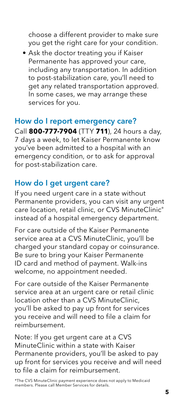choose a different provider to make sure you get the right care for your condition.

• Ask the doctor treating you if Kaiser Permanente has approved your care, including any transportation. In addition to post-stabilization care, you'll need to get any related transportation approved. In some cases, we may arrange these services for you.

#### How do I report emergency care?

Call **800-777-7904** (TTY **711**), 24 hours a day, 7 days a week, to let Kaiser Permanente know you've been admitted to a hospital with an emergency condition, or to ask for approval for post-stabilization care.

#### How do I get urgent care?

If you need urgent care in a state without Permanente providers, you can visit any urgent care location, retail clinic, or CVS MinuteClinic® instead of a hospital emergency department.

For care outside of the Kaiser Permanente service area at a CVS MinuteClinic, you'll be charged your standard copay or coinsurance. Be sure to bring your Kaiser Permanente ID card and method of payment. Walk-ins welcome, no appointment needed.

For care outside of the Kaiser Permanente service area at an urgent care or retail clinic location other than a CVS MinuteClinic, you'll be asked to pay up front for services you receive and will need to file a claim for reimbursement.

Note: If you get urgent care at a CVS MinuteClinic within a state with Kaiser Permanente providers, you'll be asked to pay up front for services you receive and will need to file a claim for reimbursement.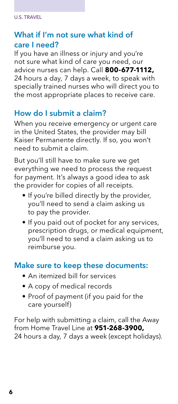#### What if I'm not sure what kind of care I need?

If you have an illness or injury and you're not sure what kind of care you need, our advice nurses can help. Call **800-677-1112,** 24 hours a day, 7 days a week, to speak with specially trained nurses who will direct you to the most appropriate places to receive care.

#### How do I submit a claim?

When you receive emergency or urgent care in the United States, the provider may bill Kaiser Permanente directly. If so, you won't need to submit a claim.

But you'll still have to make sure we get everything we need to process the request for payment. It's always a good idea to ask the provider for copies of all receipts.

- If you're billed directly by the provider, you'll need to send a claim asking us to pay the provider.
- If you paid out of pocket for any services, prescription drugs, or medical equipment, you'll need to send a claim asking us to reimburse you.

#### Make sure to keep these documents:

- An itemized bill for services
- A copy of medical records
- Proof of payment (if you paid for the care yourself)

For help with submitting a claim, call the Away from Home Travel Line at **951-268-3900,** 24 hours a day, 7 days a week (except holidays).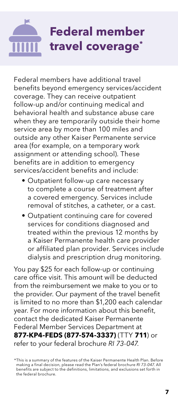# **Federal member travel coverage\***

Federal members have additional travel benefits beyond emergency services/accident coverage. They can receive outpatient follow-up and/or continuing medical and behavioral health and substance abuse care when they are temporarily outside their home service area by more than 100 miles and outside any other Kaiser Permanente service area (for example, on a temporary work assignment or attending school). These benefits are in addition to emergency services/accident benefits and include:

- Outpatient follow-up care necessary to complete a course of treatment after a covered emergency. Services include removal of stitches, a catheter, or a cast.
- Outpatient continuing care for covered services for conditions diagnosed and treated within the previous 12 months by a Kaiser Permanente health care provider or affiliated plan provider. Services include dialysis and prescription drug monitoring.

You pay \$25 for each follow-up or continuing care office visit. This amount will be deducted from the reimbursement we make to you or to the provider. Our payment of the travel benefit is limited to no more than \$1,200 each calendar year. For more information about this benefit, contact the dedicated Kaiser Permanente Federal Member Services Department at **877-KP4-FEDS (877-574-3337)** (TTY **711**) or refer to your federal brochure *RI 73-047*.

<sup>\*</sup>This is a summary of the features of the Kaiser Permanente Health Plan. Before making a final decision, please read the Plan's federal brochure *RI 73-047*. All benefits are subject to the definitions, limitations, and exclusions set forth in the federal brochure.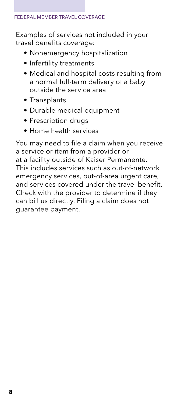Examples of services not included in your travel benefits coverage:

- Nonemergency hospitalization
- Infertility treatments
- Medical and hospital costs resulting from a normal full-term delivery of a baby outside the service area
- Transplants
- Durable medical equipment
- Prescription drugs
- Home health services

You may need to file a claim when you receive a service or item from a provider or at a facility outside of Kaiser Permanente. This includes services such as out-of-network emergency services, out-of-area urgent care, and services covered under the travel benefit. Check with the provider to determine if they can bill us directly. Filing a claim does not guarantee payment.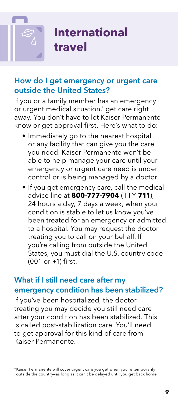## **International travel**

#### How do I get emergency or urgent care outside the United States?

If you or a family member has an emergency or urgent medical situation,\* get care right away. You don't have to let Kaiser Permanente know or get approval first. Here's what to do:

- Immediately go to the nearest hospital or any facility that can give you the care you need. Kaiser Permanente won't be able to help manage your care until your emergency or urgent care need is under control or is being managed by a doctor.
- If you get emergency care, call the medical advice line at **800-777-7904** (TTY **711**), 24 hours a day, 7 days a week, when your condition is stable to let us know you've been treated for an emergency or admitted to a hospital. You may request the doctor treating you to call on your behalf. If you're calling from outside the United States, you must dial the U.S. country code (001 or +1) first.

#### What if I still need care after my emergency condition has been stabilized?

If you've been hospitalized, the doctor treating you may decide you still need care after your condition has been stabilized. This is called post-stabilization care. You'll need to get approval for this kind of care from Kaiser Permanente.

\*Kaiser Permanente will cover urgent care you get when you're temporarily outside the country—as long as it can't be delayed until you get back home.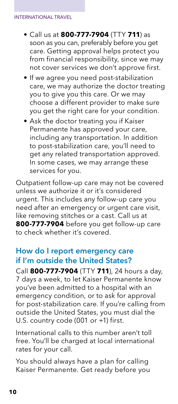- Call us at **800-777-7904** (TTY **711**) as soon as you can, preferably before you get care. Getting approval helps protect you from financial responsibility, since we may not cover services we don't approve first.
- If we agree you need post-stabilization care, we may authorize the doctor treating you to give you this care. Or we may choose a different provider to make sure you get the right care for your condition.
- Ask the doctor treating you if Kaiser Permanente has approved your care, including any transportation. In addition to post-stabilization care, you'll need to get any related transportation approved. In some cases, we may arrange these services for you.

Outpatient follow-up care may not be covered unless we authorize it or it's considered urgent. This includes any follow-up care you need after an emergency or urgent care visit, like removing stitches or a cast. Call us at **800-777-7904** before you get follow-up care to check whether it's covered.

#### How do I report emergency care if I'm outside the United States?

Call **800-777-7904** (TTY **711**), 24 hours a day, 7 days a week, to let Kaiser Permanente know you've been admitted to a hospital with an emergency condition, or to ask for approval for post-stabilization care. If you're calling from outside the United States, you must dial the U.S. country code (001 or +1) first.

International calls to this number aren't toll free. You'll be charged at local international rates for your call.

You should always have a plan for calling Kaiser Permanente. Get ready before you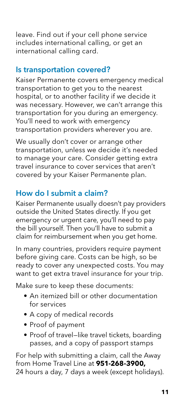leave. Find out if your cell phone service includes international calling, or get an international calling card.

#### Is transportation covered?

Kaiser Permanente covers emergency medical transportation to get you to the nearest hospital, or to another facility if we decide it was necessary. However, we can't arrange this transportation for you during an emergency. You'll need to work with emergency transportation providers wherever you are.

We usually don't cover or arrange other transportation, unless we decide it's needed to manage your care. Consider getting extra travel insurance to cover services that aren't covered by your Kaiser Permanente plan.

#### How do I submit a claim?

Kaiser Permanente usually doesn't pay providers outside the United States directly. If you get emergency or urgent care, you'll need to pay the bill yourself. Then you'll have to submit a claim for reimbursement when you get home.

In many countries, providers require payment before giving care. Costs can be high, so be ready to cover any unexpected costs. You may want to get extra travel insurance for your trip.

Make sure to keep these documents:

- An itemized bill or other documentation for services
- A copy of medical records
- Proof of payment
- Proof of travel—like travel tickets, boarding passes, and a copy of passport stamps

For help with submitting a claim, call the Away from Home Travel Line at **951-268-3900,** 24 hours a day, 7 days a week (except holidays).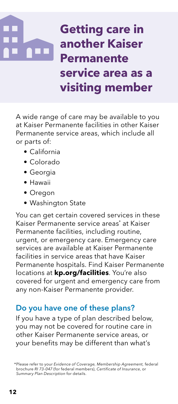# **Getting care in another Kaiser Permanente service area as a visiting member**

A wide range of care may be available to you at Kaiser Permanente facilities in other Kaiser Permanente service areas, which include all or parts of:

- California
- Colorado
- Georgia
- Hawaii
- Oregon
- Washington State

You can get certain covered services in these Kaiser Permanente service areas\* at Kaiser Permanente facilities, including routine, urgent, or emergency care. Emergency care services are available at Kaiser Permanente facilities in service areas that have Kaiser Permanente hospitals. Find Kaiser Permanente locations at **[kp.org/facilities](http://kp.org/facilities)**. You're also covered for urgent and emergency care from any non-Kaiser Permanente provider.

#### Do you have one of these plans?

If you have a type of plan described below, you may not be covered for routine care in other Kaiser Permanente service areas, or your benefits may be different than what's

<sup>\*</sup>Please refer to your *Evidence of Coverage, Membership Agreement,* federal brochure *RI 73-047* (for federal members), *Certificate of Insurance*, or *Summary Plan Description* for details.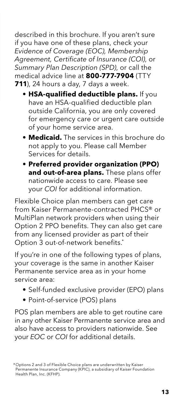described in this brochure. If you aren't sure if you have one of these plans, check your *Evidence of Coverage (EOC), Membership Agreement, Certificate of Insurance (COI)*, or *Summary Plan Description (SPD)*, or call the medical advice line at **800-777-7904** (TTY **711**), 24 hours a day, 7 days a week.

- **HSA-qualified deductible plans.** If you have an HSA-qualified deductible plan outside California, you are only covered for emergency care or urgent care outside of your home service area.
- **Medicaid.** The services in this brochure do not apply to you. Please call Member Services for details.
- **Preferred provider organization (PPO) and out-of-area plans.** These plans offer nationwide access to care. Please see your *COI* for additional information.

Flexible Choice plan members can get care from Kaiser Permanente-contracted PHCS® or MultiPlan network providers when using their Option 2 PPO benefits. They can also get care from any licensed provider as part of their Option 3 out-of-network benefits.\*

If you're in one of the following types of plans, your coverage is the same in another Kaiser Permanente service area as in your home service area:

- Self-funded exclusive provider (EPO) plans
- Point-of-service (POS) plans

POS plan members are able to get routine care in any other Kaiser Permanente service area and also have access to providers nationwide. See your *EOC* or *COI* for additional details.

 <sup>\*</sup> Options 2 and 3 of Flexible Choice plans are underwritten by Kaiser Permanente Insurance Company (KPIC), a subsidiary of Kaiser Foundation Health Plan, Inc. (KFHP).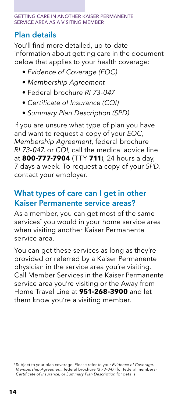#### GETTING CARE IN ANOTHER KAISER PERMANENTE SERVICE AREA AS A VISITING MEMBER

#### Plan details

You'll find more detailed, up-to-date information about getting care in the document below that applies to your health coverage:

- *Evidence of Coverage (EOC)*
- *Membership Agreement*
- Federal brochure *RI 73-047*
- *Certificate of Insurance (COI)*
- *Summary Plan Description (SPD)*

If you are unsure what type of plan you have and want to request a copy of your *EOC, Membership Agreement*, federal brochure *RI 73-047*, or *COI*, call the medical advice line at **800-777-7904** (TTY **711**), 24 hours a day, 7 days a week. To request a copy of your *SPD*, contact your employer.

#### What types of care can I get in other Kaiser Permanente service areas?

As a member, you can get most of the same services\* you would in your home service area when visiting another Kaiser Permanente service area.

You can get these services as long as they're provided or referred by a Kaiser Permanente physician in the service area you're visiting. Call Member Services in the Kaiser Permanente service area you're visiting or the Away from Home Travel Line at **951-268-3900** and let them know you're a visiting member.

<sup>\*</sup>Subject to your plan coverage. Please refer to your Evidence of Coverage,<br>Membership Agreement, federal brochure RI 73-047 (for federal members),<br>Certificate of Insurance, or Summary Plan Description for details.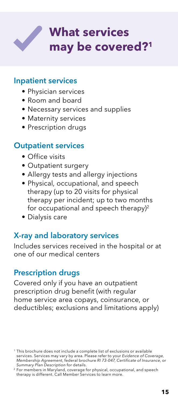

#### Inpatient services

- Physician services
- Room and board
- Necessary services and supplies
- Maternity services
- Prescription drugs

#### Outpatient services

- Office visits
- Outpatient surgery
- Allergy tests and allergy injections
- Physical, occupational, and speech therapy (up to 20 visits for physical therapy per incident; up to two months for occupational and speech therapy)<sup>2</sup>
- Dialysis care

#### X-ray and laboratory services

Includes services received in the hospital or at one of our medical centers

#### Prescription drugs

Covered only if you have an outpatient prescription drug benefit (with regular home service area copays, coinsurance, or deductibles; exclusions and limitations apply)

<sup>&</sup>lt;sup>1</sup> This brochure does not include a complete list of exclusions or available services. Services may vary by area. Please refer to your *Evidence of Coverage, Membership Agreement*, federal brochure *RI 73-047*, *Certificate of Insurance*, or *Summary Plan Description* for details.

<sup>2</sup> For members in Maryland, coverage for physical, occupational, and speech therapy is different. Call Member Services to learn more.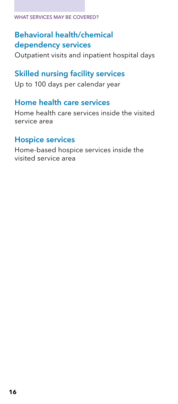#### WHAT SERVICES MAY BE COVERED?

#### Behavioral health/chemical dependency services

Outpatient visits and inpatient hospital days

#### Skilled nursing facility services

Up to 100 days per calendar year

#### Home health care services

Home health care services inside the visited service area

#### Hospice services

Home-based hospice services inside the visited service area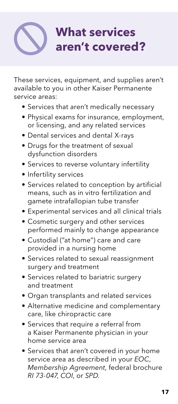# **What services aren't covered?**

These services, equipment, and supplies aren't available to you in other Kaiser Permanente service areas:

- Services that aren't medically necessary
- Physical exams for insurance, employment, or licensing, and any related services
- Dental services and dental X-rays
- Drugs for the treatment of sexual dysfunction disorders
- Services to reverse voluntary infertility
- Infertility services
- Services related to conception by artificial means, such as in vitro fertilization and gamete intrafallopian tube transfer
- Experimental services and all clinical trials
- Cosmetic surgery and other services performed mainly to change appearance
- Custodial ("at home") care and care provided in a nursing home
- Services related to sexual reassignment surgery and treatment
- Services related to bariatric surgery and treatment
- Organ transplants and related services
- Alternative medicine and complementary care, like chiropractic care
- Services that require a referral from a Kaiser Permanente physician in your home service area
- Services that aren't covered in your home service area as described in your *EOC*, *Membership Agreement*, federal brochure *RI 73-047*, *COI*, or *SPD*.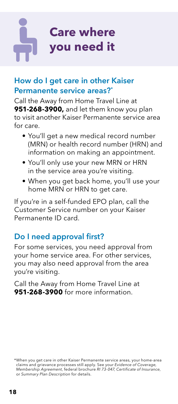# **Care where you need it**

#### How do I get care in other Kaiser Permanente service areas?\*

Call the Away from Home Travel Line at **951-268-3900,** and let them know you plan to visit another Kaiser Permanente service area for care.

- You'll get a new medical record number (MRN) or health record number (HRN) and information on making an appointment.
- You'll only use your new MRN or HRN in the service area you're visiting.
- When you get back home, you'll use your home MRN or HRN to get care.

If you're in a self-funded EPO plan, call the Customer Service number on your Kaiser Permanente ID card.

#### Do I need approval first?

For some services, you need approval from your home service area. For other services, you may also need approval from the area you're visiting.

Call the Away from Home Travel Line at **951-268-3900** for more information.

<sup>\*</sup>When you get care in other Kaiser Permanente service areas, your home-area claims and grievance processes still apply. See your Evidence of Coverage,<br>Membership Agreement, federal brochure RI 73-047, Certificate of Insurance,<br>or Summary Plan Description for details.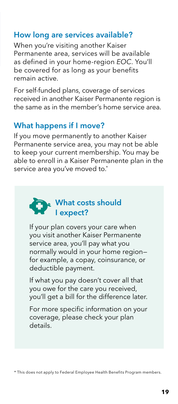#### How long are services available?

When you're visiting another Kaiser Permanente area, services will be available as defined in your home-region *EOC*. You'll be covered for as long as your benefits remain active.

For self-funded plans, coverage of services received in another Kaiser Permanente region is the same as in the member's home service area.

#### What happens if I move?

If you move permanently to another Kaiser Permanente service area, you may not be able to keep your current membership. You may be able to enroll in a Kaiser Permanente plan in the service area you've moved to.\*

#### What costs should I expect?

If your plan covers your care when you visit another Kaiser Permanente service area, you'll pay what you normally would in your home region for example, a copay, coinsurance, or deductible payment.

If what you pay doesn't cover all that you owe for the care you received, you'll get a bill for the difference later.

For more specific information on your coverage, please check your plan details.

\* This does not apply to Federal Employee Health Benefits Program members.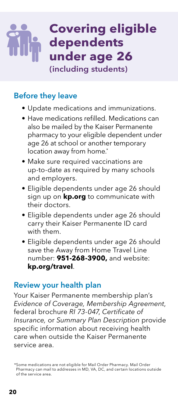### **Covering eligible dependents under age 26**  (including students)

#### Before they leave

- Update medications and immunizations.
- Have medications refilled. Medications can also be mailed by the Kaiser Permanente pharmacy to your eligible dependent under age 26 at school or another temporary location away from home.\*
- Make sure required vaccinations are up-to-date as required by many schools and employers.
- Eligible dependents under age 26 should sign up on **[kp.org](http://kp.org)** to communicate with their doctors.
- Eligible dependents under age 26 should carry their Kaiser Permanente ID card with them.
- Eligible dependents under age 26 should save the Away from Home Travel Line number: **951-268-3900,** and website: **[kp.org/travel](http://kp.org/travel)**.

#### Review your health plan

Your Kaiser Permanente membership plan's *Evidence of Coverage, Membership Agreement*, federal brochure *RI 73-047*, *Certificate of Insurance,* or *Summary Plan Description* provide specific information about receiving health care when outside the Kaiser Permanente service area.

<sup>\*</sup>Some medications are not eligible for Mail Order Pharmacy. Mail Order Pharmacy can mail to addresses in MD, VA, DC, and certain locations outside of the service area.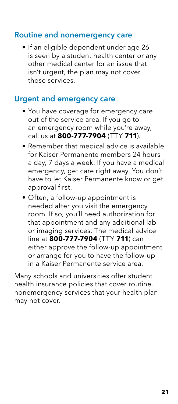#### Routine and nonemergency care

• If an eligible dependent under age 26 is seen by a student health center or any other medical center for an issue that isn't urgent, the plan may not cover those services.

#### Urgent and emergency care

- You have coverage for emergency care out of the service area. If you go to an emergency room while you're away, call us at **800-777-7904** (TTY **711**).
- Remember that medical advice is available for Kaiser Permanente members 24 hours a day, 7 days a week. If you have a medical emergency, get care right away. You don't have to let Kaiser Permanente know or get approval first.
- Often, a follow-up appointment is needed after you visit the emergency room. If so, you'll need authorization for that appointment and any additional lab or imaging services. The medical advice line at **800-777-7904** (TTY **711**) can either approve the follow-up appointment or arrange for you to have the follow-up in a Kaiser Permanente service area.

Many schools and universities offer student health insurance policies that cover routine, nonemergency services that your health plan may not cover.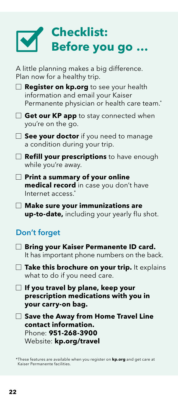# **Checklist: Before you go …**

A little planning makes a big difference. Plan now for a healthy trip.

**Register on [kp.org](http://kp.org)** to see your health information and email your Kaiser Permanente physician or health care team.<sup>\*</sup>

**Get our KP app** to stay connected when you're on the go.

**See your doctor** if you need to manage a condition during your trip.

**Refill your prescriptions** to have enough while you're away.

**Print a summary of your online medical record** in case you don't have Internet access.\*

**Make sure your immunizations are up-to-date,** including your yearly flu shot.

#### Don't forget

| $\Box$ Bring your Kaiser Permanente ID card. |  |  |
|----------------------------------------------|--|--|
| It has important phone numbers on the back.  |  |  |

**Take this brochure on your trip.** It explains what to do if you need care.

**If you travel by plane, keep your prescription medications with you in your carry-on bag.**

**Save the Away from Home Travel Line contact information.**  Phone: **951-268-3900** Website: **[kp.org/travel](http://kp.org/travel)**

\*These features are available when you register on **[kp.org](http://kp.org)** and get care at Kaiser Permanente facilities.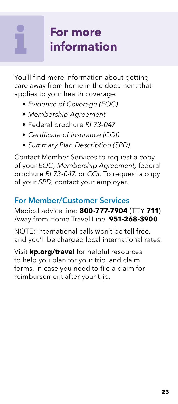# **For more information**

You'll find more information about getting care away from home in the document that applies to your health coverage:

- *• Evidence of Coverage (EOC)*
- *• Membership Agreement*
- *•* Federal brochure *RI 73-047*
- *• Certificate of Insurance (COI)*
- *• Summary Plan Description (SPD)*

Contact Member Services to request a copy of your *EOC, Membership Agreement,* federal brochure *RI 73-047,* or *COI*. To request a copy of your *SPD*, contact your employer.

#### For Member/Customer Services

Medical advice line: **800-777-7904** (TTY **711**) Away from Home Travel Line: **951-268-3900**

NOTE: International calls won't be toll free, and you'll be charged local international rates.

Visit **[kp.org/travel](http://kp.org/travel)** for helpful resources to help you plan for your trip, and claim forms, in case you need to file a claim for reimbursement after your trip.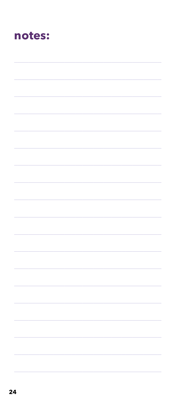### notes: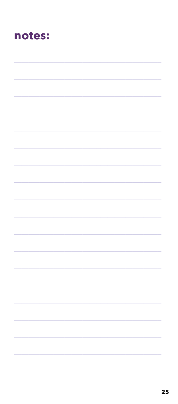### notes: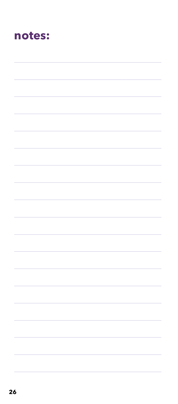### notes: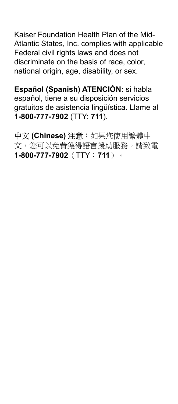Kaiser Foundation Health Plan of the Mid-Atlantic States, Inc. complies with applicable Federal civil rights laws and does not discriminate on the basis of race, color, national origin, age, disability, or sex.

**Español (Spanish) ATENCIÓN:** si habla español, tiene a su disposición servicios gratuitos de asistencia lingüística. Llame al **1-800-777-7902** (TTY: **711**).

中文 **(Chinese)** 注意:如果您使用繁體中 文,您可以免費獲得語言援助服務。請致電 **1-800-777-7902**(TTY:**711**)。